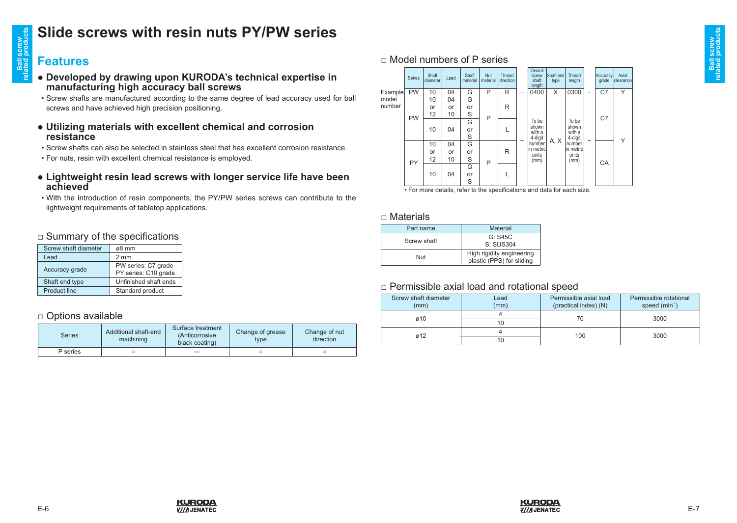## **Slide screws with resin nuts PY/PW series**

# **related products Features**

**Ball screw** 

I screw<br>I products

- **●――Developed―by―drawing―upon―KURODA's―technical―expertise―in―** manufacturing high accuracy ball screws
- Screw shafts are manufactured according to the same degree of lead accuracy used for ball screws and have achieved high precision positioning.
- **●――Utilizing―materials―with―excellent―chemical―and―corrosion― resistance**
- Screw shafts can also be selected in stainless steel that has excellent corrosion resistance.
- For nuts, resin with excellent chemical resistance is employed.
- **●――Lightweight―resin―lead―screws―with―longer―service―life―have―been― achieved**
- With the introduction of resin components, the PY/PW series screws can contribute to the lightweight requirements of tabletop applications.

#### □ Summary of the specifications

| Screw shaft diameter | ø8 mm                                       |
|----------------------|---------------------------------------------|
| Lead                 | $2 \text{ mm}$                              |
| Accuracy grade       | PW series: C7 grade<br>PY series: C10 grade |
| Shaft end type       | Unfinished shaft ends                       |
| <b>Product line</b>  | Standard product                            |
|                      |                                             |

#### □ Options available

| <b>Series</b> | Additional shaft-end<br>machining | Surface treatment<br>(Anticorrosive<br>black coating) | Change of grease<br>type | Change of nut<br>direction |
|---------------|-----------------------------------|-------------------------------------------------------|--------------------------|----------------------------|
| P series      |                                   | ---                                                   |                          |                            |

**KURODA V///I JENATEC** 

#### $\Box$  Model numbers of P series

|         | Series    | Shaft<br>diameter | Lead | Shaft<br>material | <b>Nut</b><br>material | Thread<br>direction |        | Overall<br>screw<br>shaft<br>length  | <b>Shaft</b> endl<br>type | Thread<br>length                                                              |   | Accuracy<br>grade | Axial<br>clearance |
|---------|-----------|-------------------|------|-------------------|------------------------|---------------------|--------|--------------------------------------|---------------------------|-------------------------------------------------------------------------------|---|-------------------|--------------------|
| Example | <b>PW</b> | 10                | 04   | G                 | P                      | R                   | -      | 0400                                 | X                         | 0300                                                                          | - | C7                | Υ                  |
| model   |           | 10                | 04   | G                 |                        |                     |        |                                      |                           |                                                                               |   |                   |                    |
| number  |           | or                | or   | or                |                        | R                   |        |                                      |                           |                                                                               |   |                   |                    |
|         | <b>PW</b> | 12                | 10   | S                 | P                      |                     |        |                                      |                           | To be<br>shown<br>with a<br>4-digit<br>number<br>lin metricl<br>units<br>(mm) | - | C <sub>7</sub>    |                    |
|         |           |                   |      | G                 |                        | L                   |        | To be                                | A, X                      |                                                                               |   |                   |                    |
|         |           | 10                | 04   | or                |                        |                     |        | shown<br>with a<br>4-digit<br>number |                           |                                                                               |   |                   |                    |
|         |           |                   |      | S                 |                        |                     | R<br>L |                                      |                           |                                                                               |   |                   | Υ                  |
|         |           | 10                | 04   | G                 |                        |                     |        |                                      |                           |                                                                               |   |                   |                    |
|         |           | or                | or   | or                |                        |                     |        | in metricl<br>units                  |                           |                                                                               |   | CA                |                    |
|         | PY        | 12                | 10   | S                 | P                      |                     |        | (mm)                                 |                           |                                                                               |   |                   |                    |
|         |           | 10<br>04          |      | G                 |                        |                     |        |                                      |                           |                                                                               |   |                   |                    |
|         |           |                   |      | or                |                        |                     |        |                                      |                           |                                                                               |   |                   |                    |
|         |           |                   |      | S                 |                        |                     |        |                                      |                           |                                                                               |   |                   |                    |

• For more details, refer to the specifications and data for each size.

#### □ Materials

| Part name   | <b>Material</b>                                        |  |  |  |  |
|-------------|--------------------------------------------------------|--|--|--|--|
| Screw shaft | G: S45C                                                |  |  |  |  |
|             | S: SUS304                                              |  |  |  |  |
| Nut         | High rigidity engineering<br>plastic (PPS) for sliding |  |  |  |  |

#### □ Permissible axial load and rotational speed

| Screw shaft diameter<br>(mm) | Lead<br>(mm) | Permissible axial load<br>(practical index) (N) | Permissible rotational<br>speed $(min-1)$ |
|------------------------------|--------------|-------------------------------------------------|-------------------------------------------|
| Ø10                          | 10           | 70                                              | 3000                                      |
| 012                          | 10           | 100                                             | 3000                                      |